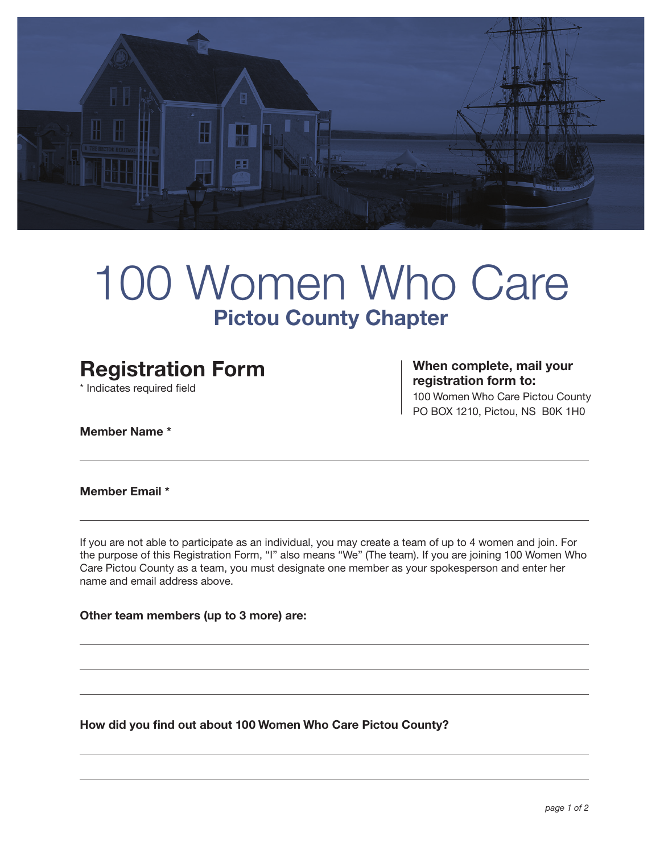

# 100 Women Who Care **Pictou County Chapter**

## **Registration Form**

\* Indicates required field

**When complete, mail your registration form to:**

100 Women Who Care Pictou County PO BOX 1210, Pictou, NS B0K 1H0

**Member Name \***

**Member Email \***

If you are not able to participate as an individual, you may create a team of up to 4 women and join. For the purpose of this Registration Form, "I" also means "We" (The team). If you are joining 100 Women Who Care Pictou County as a team, you must designate one member as your spokesperson and enter her name and email address above.

**Other team members (up to 3 more) are:**

**How did you find out about 100 Women Who Care Pictou County?**